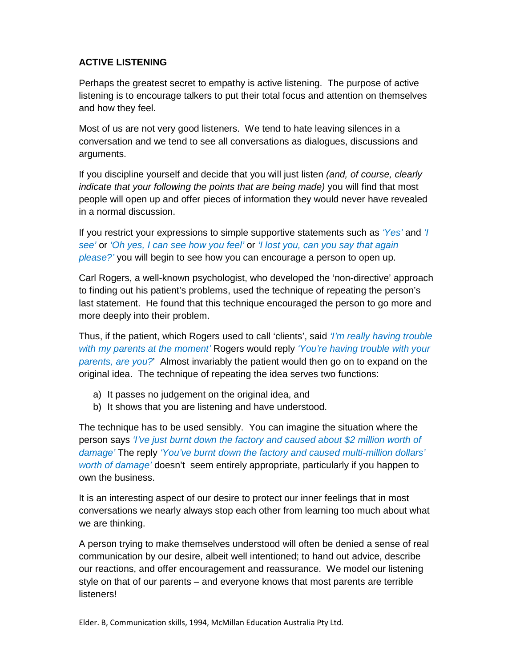## **ACTIVE LISTENING**

Perhaps the greatest secret to empathy is active listening. The purpose of active listening is to encourage talkers to put their total focus and attention on themselves and how they feel.

Most of us are not very good listeners. We tend to hate leaving silences in a conversation and we tend to see all conversations as dialogues, discussions and arguments.

If you discipline yourself and decide that you will just listen *(and, of course, clearly* indicate that your following the points that are being made) you will find that most people will open up and offer pieces of information they would never have revealed in a normal discussion.

If you restrict your expressions to simple supportive statements such as 'Yes' and 'I see' or 'Oh yes, I can see how you feel' or 'I lost you, can you say that again please?' you will begin to see how you can encourage a person to open up.

Carl Rogers, a well-known psychologist, who developed the 'non-directive' approach to finding out his patient's problems, used the technique of repeating the person's last statement. He found that this technique encouraged the person to go more and more deeply into their problem.

Thus, if the patient, which Rogers used to call 'clients', said '*I'm really having trouble* with my parents at the moment' Rogers would reply 'You're having trouble with your parents, are you?' Almost invariably the patient would then go on to expand on the original idea. The technique of repeating the idea serves two functions:

- a) It passes no judgement on the original idea, and
- b) It shows that you are listening and have understood.

The technique has to be used sensibly. You can imagine the situation where the person says 'I've just burnt down the factory and caused about \$2 million worth of damage' The reply 'You've burnt down the factory and caused multi-million dollars' worth of damage' doesn't seem entirely appropriate, particularly if you happen to own the business.

It is an interesting aspect of our desire to protect our inner feelings that in most conversations we nearly always stop each other from learning too much about what we are thinking.

A person trying to make themselves understood will often be denied a sense of real communication by our desire, albeit well intentioned; to hand out advice, describe our reactions, and offer encouragement and reassurance. We model our listening style on that of our parents – and everyone knows that most parents are terrible listeners!